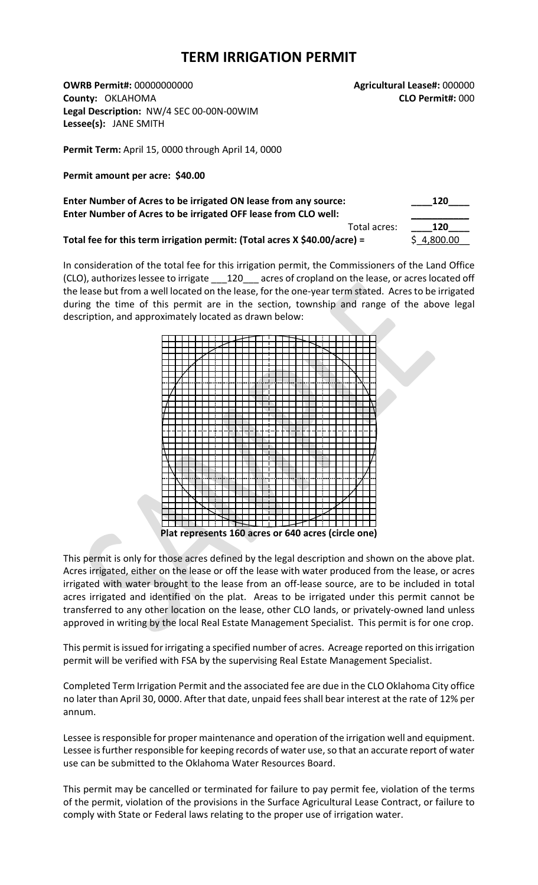## **TERM IRRIGATION PERMIT**

**OWRB Permit#:** 00000000000 **Agricultural Lease#:** 000000 **County:** OKLAHOMA **CLO Permit#:** 000 **Legal Description:** NW/4 SEC 00-00N-00WIM **Lessee(s):** JANE SMITH

**Permit Term:** April 15, 0000 through April 14, 0000

## **Permit amount per acre: \$40.00**

| Enter Number of Acres to be irrigated ON lease from any source:                              | 120        |
|----------------------------------------------------------------------------------------------|------------|
| Enter Number of Acres to be irrigated OFF lease from CLO well:                               |            |
| Total acres:                                                                                 | 120        |
| Total fee for this term irrigation permit: (Total acres $X \, \text{S}40.00/\text{acre}$ ) = | \$4,800.00 |

In consideration of the total fee for this irrigation permit, the Commissioners of the Land Office (CLO), authorizes lessee to irrigate \_\_\_120\_\_\_ acres of cropland on the lease, or acres located off the lease but from a well located on the lease, for the one-year term stated. Acres to be irrigated during the time of this permit are in the section, township and range of the above legal description, and approximately located as drawn below:



**Plat represents 160 acres or 640 acres (circle one)**

This permit is only for those acres defined by the legal description and shown on the above plat. Acres irrigated, either on the lease or off the lease with water produced from the lease, or acres irrigated with water brought to the lease from an off-lease source, are to be included in total acres irrigated and identified on the plat. Areas to be irrigated under this permit cannot be transferred to any other location on the lease, other CLO lands, or privately-owned land unless approved in writing by the local Real Estate Management Specialist. This permit is for one crop.

This permit is issued for irrigating a specified number of acres. Acreage reported on this irrigation permit will be verified with FSA by the supervising Real Estate Management Specialist.

Completed Term Irrigation Permit and the associated fee are due in the CLO Oklahoma City office no later than April 30, 0000. After that date, unpaid fees shall bear interest at the rate of 12% per annum.

Lessee is responsible for proper maintenance and operation of the irrigation well and equipment. Lessee is further responsible for keeping records of water use, so that an accurate report of water use can be submitted to the Oklahoma Water Resources Board.

This permit may be cancelled or terminated for failure to pay permit fee, violation of the terms of the permit, violation of the provisions in the Surface Agricultural Lease Contract, or failure to comply with State or Federal laws relating to the proper use of irrigation water.